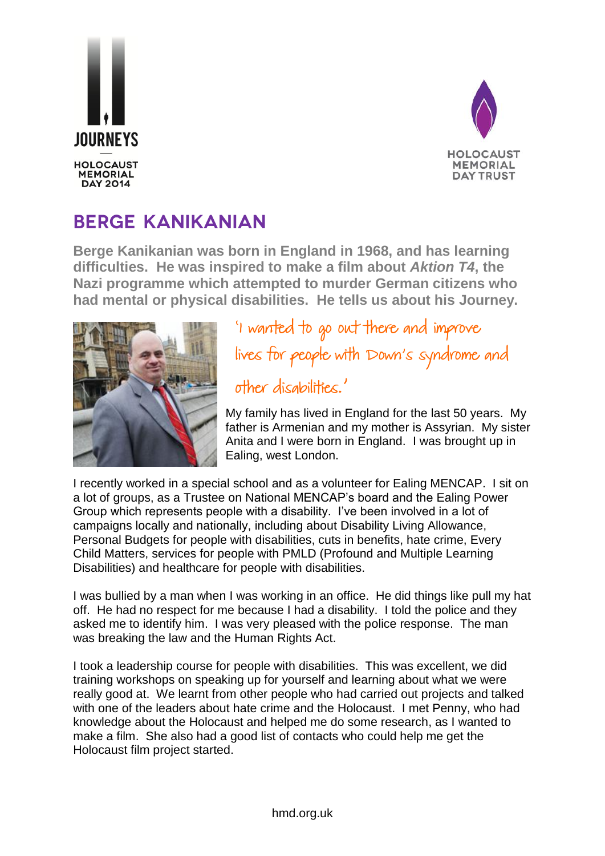



## **BERGE KANIKANIAN**

**Berge Kanikanian was born in England in 1968, and has learning difficulties. He was inspired to make a film about** *Aktion T4***, the Nazi programme which attempted to murder German citizens who had mental or physical disabilities. He tells us about his Journey.**



'I wanted to go out there and improve lives for people with Down's syndrome and other disabilities.'

My family has lived in England for the last 50 years. My father is Armenian and my mother is Assyrian. My sister Anita and I were born in England. I was brought up in Ealing, west London.

I recently worked in a special school and as a volunteer for Ealing MENCAP. I sit on a lot of groups, as a Trustee on National MENCAP's board and the Ealing Power Group which represents people with a disability. I've been involved in a lot of campaigns locally and nationally, including about Disability Living Allowance, Personal Budgets for people with disabilities, cuts in benefits, hate crime, Every Child Matters, services for people with PMLD (Profound and Multiple Learning Disabilities) and healthcare for people with disabilities.

I was bullied by a man when I was working in an office. He did things like pull my hat off. He had no respect for me because I had a disability. I told the police and they asked me to identify him. I was very pleased with the police response. The man was breaking the law and the Human Rights Act.

I took a leadership course for people with disabilities. This was excellent, we did training workshops on speaking up for yourself and learning about what we were really good at. We learnt from other people who had carried out projects and talked with one of the leaders about hate crime and the Holocaust. I met Penny, who had knowledge about the Holocaust and helped me do some research, as I wanted to make a film. She also had a good list of contacts who could help me get the Holocaust film project started.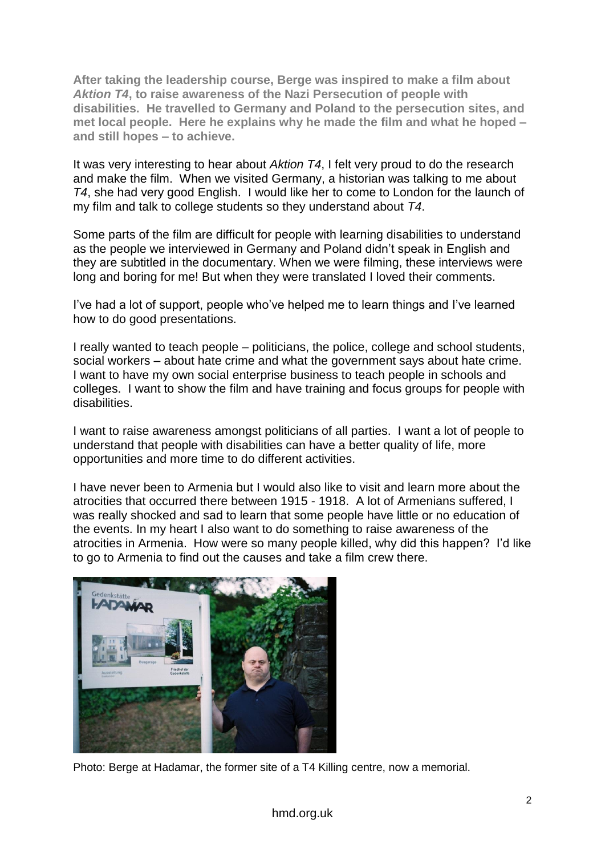**After taking the leadership course, Berge was inspired to make a film about**  *Aktion T4***, to raise awareness of the Nazi Persecution of people with disabilities. He travelled to Germany and Poland to the persecution sites, and met local people. Here he explains why he made the film and what he hoped – and still hopes – to achieve.**

It was very interesting to hear about *Aktion T4*, I felt very proud to do the research and make the film. When we visited Germany, a historian was talking to me about *T4*, she had very good English. I would like her to come to London for the launch of my film and talk to college students so they understand about *T4*.

Some parts of the film are difficult for people with learning disabilities to understand as the people we interviewed in Germany and Poland didn't speak in English and they are subtitled in the documentary. When we were filming, these interviews were long and boring for me! But when they were translated I loved their comments.

I've had a lot of support, people who've helped me to learn things and I've learned how to do good presentations.

I really wanted to teach people – politicians, the police, college and school students, social workers – about hate crime and what the government says about hate crime. I want to have my own social enterprise business to teach people in schools and colleges. I want to show the film and have training and focus groups for people with disabilities.

I want to raise awareness amongst politicians of all parties. I want a lot of people to understand that people with disabilities can have a better quality of life, more opportunities and more time to do different activities.

I have never been to Armenia but I would also like to visit and learn more about the atrocities that occurred there between 1915 - 1918. A lot of Armenians suffered, I was really shocked and sad to learn that some people have little or no education of the events. In my heart I also want to do something to raise awareness of the atrocities in Armenia. How were so many people killed, why did this happen? I'd like to go to Armenia to find out the causes and take a film crew there.



Photo: Berge at Hadamar, the former site of a T4 Killing centre, now a memorial.

## hmd.org.uk